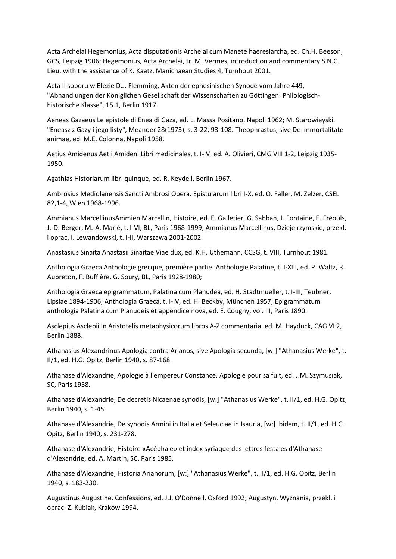Acta Archelai Hegemonius, Acta disputationis Archelai cum Manete haeresiarcha, ed. Ch.H. Beeson, GCS, Leipzig 1906; Hegemonius, Acta Archelai, tr. M. Vermes, introduction and commentary S.N.C. Lieu, with the assistance of K. Kaatz, Manichaean Studies 4, Turnhout 2001.

Acta II soboru w Efezie D.J. Flemming, Akten der ephesinischen Synode vom Jahre 449, "Abhandlungen der Königlichen Gesellschaft der Wissenschaften zu Göttingen. Philologischhistorische Klasse", 15.1, Berlin 1917.

Aeneas Gazaeus Le epistole di Enea di Gaza, ed. L. Massa Positano, Napoli 1962; M. Starowieyski, "Eneasz z Gazy i jego listy", Meander 28(1973), s. 3-22, 93-108. Theophrastus, sive De immortalitate animae, ed. M.E. Colonna, Napoli 1958.

Aetius Amidenus Aetii Amideni Libri medicinales, t. I-IV, ed. A. Olivieri, CMG VIII 1-2, Leipzig 1935- 1950.

Agathias Historiarum libri quinque, ed. R. Keydell, Berlin 1967.

Ambrosius Mediolanensis Sancti Ambrosi Opera. Epistularum libri I-X, ed. O. Faller, M. Zelzer, CSEL 82,1-4, Wien 1968-1996.

Ammianus MarcellinusAmmien Marcellin, Histoire, ed. E. Galletier, G. Sabbah, J. Fontaine, E. Fréouls, J.-D. Berger, M.-A. Marié, t. I-VI, BL, Paris 1968-1999; Ammianus Marcellinus, Dzieje rzymskie, przekł. i oprac. I. Lewandowski, t. I-II, Warszawa 2001-2002.

Anastasius Sinaita Anastasii Sinaitae Viae dux, ed. K.H. Uthemann, CCSG, t. VIII, Turnhout 1981.

Anthologia Graeca Anthologie grecque, première partie: Anthologie Palatine, t. I-XIII, ed. P. Waltz, R. Aubreton, F. Buffière, G. Soury, BL, Paris 1928-1980;

Anthologia Graeca epigrammatum, Palatina cum Planudea, ed. H. Stadtmueller, t. I-III, Teubner, Lipsiae 1894-1906; Anthologia Graeca, t. I-IV, ed. H. Beckby, München 1957; Epigrammatum anthologia Palatina cum Planudeis et appendice nova, ed. E. Cougny, vol. III, Paris 1890.

Asclepius Asclepii In Aristotelis metaphysicorum libros A-Z commentaria, ed. M. Hayduck, CAG VI 2, Berlin 1888.

Athanasius Alexandrinus Apologia contra Arianos, sive Apologia secunda, [w:] "Athanasius Werke", t. II/1, ed. H.G. Opitz, Berlin 1940, s. 87-168.

Athanase d'Alexandrie, Apologie à l'empereur Constance. Apologie pour sa fuit, ed. J.M. Szymusiak, SC, Paris 1958.

Athanase d'Alexandrie, De decretis Nicaenae synodis, [w:] "Athanasius Werke", t. II/1, ed. H.G. Opitz, Berlin 1940, s. 1-45.

Athanase d'Alexandrie, De synodis Armini in Italia et Seleuciae in Isauria, [w:] ibidem, t. II/1, ed. H.G. Opitz, Berlin 1940, s. 231-278.

Athanase d'Alexandrie, Histoire «Acéphale» et index syriaque des lettres festales d'Athanase d'Alexandrie, ed. A. Martin, SC, Paris 1985.

Athanase d'Alexandrie, Historia Arianorum, [w:] "Athanasius Werke", t. II/1, ed. H.G. Opitz, Berlin 1940, s. 183-230.

Augustinus Augustine, Confessions, ed. J.J. O'Donnell, Oxford 1992; Augustyn, Wyznania, przekł. i oprac. Z. Kubiak, Kraków 1994.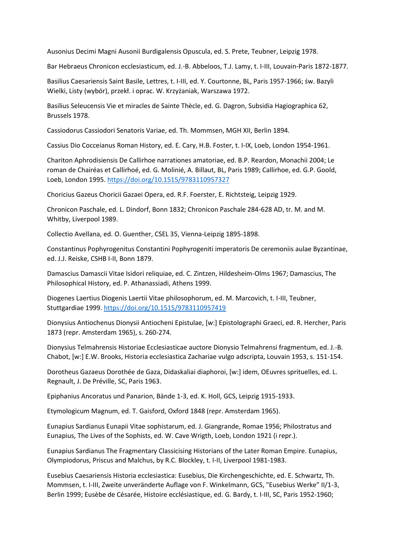Ausonius Decimi Magni Ausonii Burdigalensis Opuscula, ed. S. Prete, Teubner, Leipzig 1978.

Bar Hebraeus Chronicon ecclesiasticum, ed. J.-B. Abbeloos, T.J. Lamy, t. I-III, Louvain-Paris 1872-1877.

Basilius Caesariensis Saint Basile, Lettres, t. I-III, ed. Y. Courtonne, BL, Paris 1957-1966; św. Bazyli Wielki, Listy (wybór), przekł. i oprac. W. Krzyżaniak, Warszawa 1972.

Basilius Seleucensis Vie et miracles de Sainte Thècle, ed. G. Dagron, Subsidia Hagiographica 62, Brussels 1978.

Cassiodorus Cassiodori Senatoris Variae, ed. Th. Mommsen, MGH XII, Berlin 1894.

Cassius Dio Cocceianus Roman History, ed. E. Cary, H.B. Foster, t. I-IX, Loeb, London 1954-1961.

Chariton Aphrodisiensis De Callirhoe narrationes amatoriae, ed. B.P. Reardon, Monachii 2004; Le roman de Chairéas et Callirhoé, ed. G. Molinié, A. Billaut, BL, Paris 1989; Callirhoe, ed. G.P. Goold, Loeb, London 1995. <https://doi.org/10.1515/9783110957327>

Choricius Gazeus Choricii Gazaei Opera, ed. R.F. Foerster, E. Richtsteig, Leipzig 1929.

Chronicon Paschale, ed. L. Dindorf, Bonn 1832; Chronicon Paschale 284-628 AD, tr. M. and M. Whitby, Liverpool 1989.

Collectio Avellana, ed. O. Guenther, CSEL 35, Vienna-Leipzig 1895-1898.

Constantinus Pophyrogenitus Constantini Pophyrogeniti imperatoris De ceremoniis aulae Byzantinae, ed. J.J. Reiske, CSHB I-II, Bonn 1879.

Damascius Damascii Vitae Isidori reliquiae, ed. C. Zintzen, Hildesheim-Olms 1967; Damascius, The Philosophical History, ed. P. Athanassiadi, Athens 1999.

Diogenes Laertius Diogenis Laertii Vitae philosophorum, ed. M. Marcovich, t. I-III, Teubner, Stuttgardiae 1999. <https://doi.org/10.1515/9783110957419>

Dionysius Antiochenus Dionysii Antiocheni Epistulae, [w:] Epistolographi Graeci, ed. R. Hercher, Paris 1873 (repr. Amsterdam 1965), s. 260-274.

Dionysius Telmahrensis Historiae Ecclesiasticae auctore Dionysio Telmahrensi fragmentum, ed. J.-B. Chabot, [w:] E.W. Brooks, Historia ecclesiastica Zachariae vulgo adscripta, Louvain 1953, s. 151-154.

Dorotheus Gazaeus Dorothée de Gaza, Didaskaliai diaphoroi, [w:] idem, OEuvres sprituelles, ed. L. Regnault, J. De Préville, SC, Paris 1963.

Epiphanius Ancoratus und Panarion, Bände 1-3, ed. K. Holl, GCS, Leipzig 1915-1933.

Etymologicum Magnum, ed. T. Gaisford, Oxford 1848 (repr. Amsterdam 1965).

Eunapius Sardianus Eunapii Vitae sophistarum, ed. J. Giangrande, Romae 1956; Philostratus and Eunapius, The Lives of the Sophists, ed. W. Cave Wrigth, Loeb, London 1921 (i repr.).

Eunapius Sardianus The Fragmentary Classicising Historians of the Later Roman Empire. Eunapius, Olympiodorus, Priscus and Malchus, by R.C. Blockley, t. I-II, Liverpool 1981-1983.

Eusebius Caesariensis Historia ecclesiastica: Eusebius, Die Kirchengeschichte, ed. E. Schwartz, Th. Mommsen, t. I-III, Zweite unveränderte Auflage von F. Winkelmann, GCS, "Eusebius Werke" II/1-3, Berlin 1999; Eusèbe de Césarée, Histoire ecclésiastique, ed. G. Bardy, t. I-III, SC, Paris 1952-1960;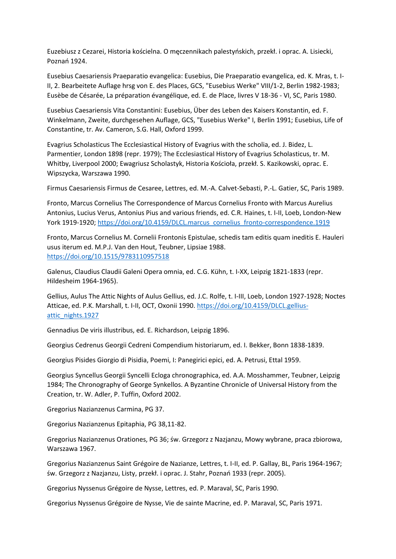Euzebiusz z Cezarei, Historia kościelna. O męczennikach palestyńskich, przekł. i oprac. A. Lisiecki, Poznań 1924.

Eusebius Caesariensis Praeparatio evangelica: Eusebius, Die Praeparatio evangelica, ed. K. Mras, t. I-II, 2. Bearbeitete Auflage hrsg von E. des Places, GCS, "Eusebius Werke" VIII/1-2, Berlin 1982-1983; Eusèbe de Césarée, La préparation évangélique, ed. E. de Place, livres V 18-36 - VI, SC, Paris 1980.

Eusebius Caesariensis Vita Constantini: Eusebius, Über des Leben des Kaisers Konstantin, ed. F. Winkelmann, Zweite, durchgesehen Auflage, GCS, "Eusebius Werke" I, Berlin 1991; Eusebius, Life of Constantine, tr. Av. Cameron, S.G. Hall, Oxford 1999.

Evagrius Scholasticus The Ecclesiastical History of Evagrius with the scholia, ed. J. Bidez, L. Parmentier, London 1898 (repr. 1979); The Ecclesiastical History of Evagrius Scholasticus, tr. M. Whitby, Liverpool 2000; Ewagriusz Scholastyk, Historia Kościoła, przekł. S. Kazikowski, oprac. E. Wipszycka, Warszawa 1990.

Firmus Caesariensis Firmus de Cesaree, Lettres, ed. M.-A. Calvet-Sebasti, P.-L. Gatier, SC, Paris 1989.

Fronto, Marcus Cornelius The Correspondence of Marcus Cornelius Fronto with Marcus Aurelius Antonius, Lucius Verus, Antonius Pius and various friends, ed. C.R. Haines, t. I-II, Loeb, London-New York 1919-1920; [https://doi.org/10.4159/DLCL.marcus\\_cornelius\\_fronto-correspondence.1919](https://doi.org/10.4159/DLCL.marcus_cornelius_fronto-correspondence.1919)

Fronto, Marcus Cornelius M. Cornelii Frontonis Epistulae, schedis tam editis quam ineditis E. Hauleri usus iterum ed. M.P.J. Van den Hout, Teubner, Lipsiae 1988. <https://doi.org/10.1515/9783110957518>

Galenus, Claudius Claudii Galeni Opera omnia, ed. C.G. Kühn, t. I-XX, Leipzig 1821-1833 (repr. Hildesheim 1964-1965).

Gellius, Aulus The Attic Nights of Aulus Gellius, ed. J.C. Rolfe, t. I-III, Loeb, London 1927-1928; Noctes Atticae, ed. P.K. Marshall, t. I-II, OCT, Oxonii 1990. [https://doi.org/10.4159/DLCL.gellius](https://doi.org/10.4159/DLCL.gellius-attic_nights.1927)[attic\\_nights.1927](https://doi.org/10.4159/DLCL.gellius-attic_nights.1927)

Gennadius De viris illustribus, ed. E. Richardson, Leipzig 1896.

Georgius Cedrenus Georgii Cedreni Compendium historiarum, ed. I. Bekker, Bonn 1838-1839.

Georgius Pisides Giorgio di Pisidia, Poemi, I: Panegirici epici, ed. A. Petrusi, Ettal 1959.

Georgius Syncellus Georgii Syncelli Ecloga chronographica, ed. A.A. Mosshammer, Teubner, Leipzig 1984; The Chronography of George Synkellos. A Byzantine Chronicle of Universal History from the Creation, tr. W. Adler, P. Tuffin, Oxford 2002.

Gregorius Nazianzenus Carmina, PG 37.

Gregorius Nazianzenus Epitaphia, PG 38,11-82.

Gregorius Nazianzenus Orationes, PG 36; św. Grzegorz z Nazjanzu, Mowy wybrane, praca zbiorowa, Warszawa 1967.

Gregorius Nazianzenus Saint Grégoire de Nazianze, Lettres, t. I-II, ed. P. Gallay, BL, Paris 1964-1967; św. Grzegorz z Nazjanzu, Listy, przekł. i oprac. J. Stahr, Poznań 1933 (repr. 2005).

Gregorius Nyssenus Grégoire de Nysse, Lettres, ed. P. Maraval, SC, Paris 1990.

Gregorius Nyssenus Grégoire de Nysse, Vie de sainte Macrine, ed. P. Maraval, SC, Paris 1971.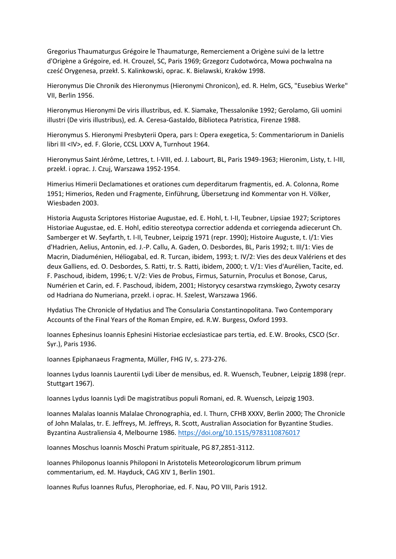Gregorius Thaumaturgus Grégoire le Thaumaturge, Remerciement a Origène suivi de la lettre d'Origène a Grégoire, ed. H. Crouzel, SC, Paris 1969; Grzegorz Cudotwórca, Mowa pochwalna na cześć Orygenesa, przekł. S. Kalinkowski, oprac. K. Bielawski, Kraków 1998.

Hieronymus Die Chronik des Hieronymus (Hieronymi Chronicon), ed. R. Helm, GCS, "Eusebius Werke" VII, Berlin 1956.

Hieronymus Hieronymi De viris illustribus, ed. K. Siamake, Thessalonike 1992; Gerolamo, Gli uomini illustri (De viris illustribus), ed. A. Ceresa-Gastaldo, Biblioteca Patristica, Firenze 1988.

Hieronymus S. Hieronymi Presbyterii Opera, pars I: Opera exegetica, 5: Commentariorum in Danielis libri III <IV>, ed. F. Glorie, CCSL LXXV A, Turnhout 1964.

Hieronymus Saint Jérôme, Lettres, t. I-VIII, ed. J. Labourt, BL, Paris 1949-1963; Hieronim, Listy, t. I-III, przekł. i oprac. J. Czuj, Warszawa 1952-1954.

Himerius Himerii Declamationes et orationes cum deperditarum fragmentis, ed. A. Colonna, Rome 1951; Himerios, Reden und Fragmente, Einführung, Übersetzung ind Kommentar von H. Völker, Wiesbaden 2003.

Historia Augusta Scriptores Historiae Augustae, ed. E. Hohl, t. I-II, Teubner, Lipsiae 1927; Scriptores Historiae Augustae, ed. E. Hohl, editio stereotypa correctior addenda et corriegenda adiecerunt Ch. Samberger et W. Seyfarth, t. I-II, Teubner, Leipzig 1971 (repr. 1990); Histoire Auguste, t. I/1: Vies d'Hadrien, Aelius, Antonin, ed. J.-P. Callu, A. Gaden, O. Desbordes, BL, Paris 1992; t. III/1: Vies de Macrin, Diaduménien, Héliogabal, ed. R. Turcan, ibidem, 1993; t. IV/2: Vies des deux Valériens et des deux Galliens, ed. O. Desbordes, S. Ratti, tr. S. Ratti, ibidem, 2000; t. V/1: Vies d'Aurélien, Tacite, ed. F. Paschoud, ibidem, 1996; t. V/2: Vies de Probus, Firmus, Saturnin, Proculus et Bonose, Carus, Numérien et Carin, ed. F. Paschoud, ibidem, 2001; Historycy cesarstwa rzymskiego, Żywoty cesarzy od Hadriana do Numeriana, przekł. i oprac. H. Szelest, Warszawa 1966.

Hydatius The Chronicle of Hydatius and The Consularia Constantinopolitana. Two Contemporary Accounts of the Final Years of the Roman Empire, ed. R.W. Burgess, Oxford 1993.

Ioannes Ephesinus Ioannis Ephesini Historiae ecclesiasticae pars tertia, ed. E.W. Brooks, CSCO (Scr. Syr.), Paris 1936.

Ioannes Epiphanaeus Fragmenta, Müller, FHG IV, s. 273-276.

Ioannes Lydus Ioannis Laurentii Lydi Liber de mensibus, ed. R. Wuensch, Teubner, Leipzig 1898 (repr. Stuttgart 1967).

Ioannes Lydus Ioannis Lydi De magistratibus populi Romani, ed. R. Wuensch, Leipzig 1903.

Ioannes Malalas Ioannis Malalae Chronographia, ed. I. Thurn, CFHB XXXV, Berlin 2000; The Chronicle of John Malalas, tr. E. Jeffreys, M. Jeffreys, R. Scott, Australian Association for Byzantine Studies. Byzantina Australiensia 4, Melbourne 1986. <https://doi.org/10.1515/9783110876017>

Ioannes Moschus Ioannis Moschi Pratum spirituale, PG 87,2851-3112.

Ioannes Philoponus Ioannis Philoponi In Aristotelis Meteorologicorum librum primum commentarium, ed. M. Hayduck, CAG XIV 1, Berlin 1901.

Ioannes Rufus Ioannes Rufus, Plerophoriae, ed. F. Nau, PO VIII, Paris 1912.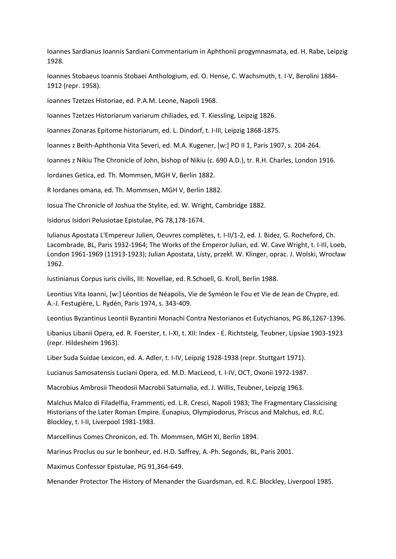Ioannes Sardianus Ioannis Sardiani Commentarium in Aphthonii progymnasmata, ed. H. Rabe, Leipzig 1928.

Ioannes Stobaeus Ioannis Stobaei Anthologium, ed. O. Hense, C. Wachsmuth, t. I-V, Berolini 1884- 1912 (repr. 1958).

Ioannes Tzetzes Historiae, ed. P.A.M. Leone, Napoli 1968.

Ioannes Tzetzes Historiarum variarum chiliades, ed. T. Kiessling, Leipzig 1826.

Ioannes Zonaras Epitome historiarum, ed. L. Dindorf, t. I-III, Leipzig 1868-1875.

Ioannes z Beith-Aphthonia Vita Severi, ed. M.A. Kugener, [w:] PO II 1, Paris 1907, s. 204-264.

Ioannes z Nikiu The Chronicle of John, bishop of Nikiu (c. 690 A.D.), tr. R.H. Charles, London 1916.

Iordanes Getica, ed. Th. Mommsen, MGH V, Berlin 1882.

R Iordanes omana, ed. Th. Mommsen, MGH V, Berlin 1882.

Iosua The Chronicle of Joshua the Stylite, ed. W. Wright, Cambridge 1882.

Isidorus Isidori Pelusiotae Epistulae, PG 78,178-1674.

Iulianus Apostata L'Empereur Julien, Oeuvres complètes, t. I-II/1-2, ed. J. Bidez, G. Rocheford, Ch. Lacombrade, BL, Paris 1932-1964; The Works of the Emperor Julian, ed. W. Cave Wright, t. I-III, Loeb, London 1961-1969 (11913-1923); Julian Apostata, Listy, przekł. W. Klinger, oprac. J. Wolski, Wrocław 1962.

Iustinianus Corpus iuris civilis, III: Novellae, ed. R.Schoell, G. Kroll, Berlin 1988.

Leontius Vita Ioanni, [w:] Léontios de Néapolis, Vie de Syméon le Fou et Vie de Jean de Chypre, ed. A.-J. Festugière, L. Rydén, Paris 1974, s. 343-409.

Leontius Byzantinus Leontii Byzantini Monachi Contra Nestorianos et Eutychianos, PG 86,1267-1396.

Libanius Libanii Opera, ed. R. Foerster, t. I-XI, t. XII: Index - E. Richtsteig, Teubner, Lipsiae 1903-1923 (repr. Hildesheim 1963).

Liber Suda Suidae Lexicon, ed. A. Adler, t. I-IV, Leipzig 1928-1938 (repr. Stuttgart 1971).

Lucianus Samosatensis Luciani Opera, ed. M.D. MacLeod, t. I-IV, OCT, Oxonii 1972-1987.

Macrobius Ambrosii Theodosii Macrobii Saturnalia, ed. J. Willis, Teubner, Leipzig 1963.

Malchus Malco di Filadelfia, Frammenti, ed. L.R. Cresci, Napoli 1983; The Fragmentary Classicising Historians of the Later Roman Empire. Eunapius, Olympiodorus, Priscus and Malchus, ed. R.C. Blockley, t. I-II, Liverpool 1981-1983.

Marcellinus Comes Chronicon, ed. Th. Mommsen, MGH XI, Berlin 1894.

Marinus Proclus ou sur le bonheur, ed. H.D. Saffrey, A.-Ph. Segonds, BL, Paris 2001.

Maximus Confessor Epistulae, PG 91,364-649.

Menander Protector The History of Menander the Guardsman, ed. R.C. Blockley, Liverpool 1985.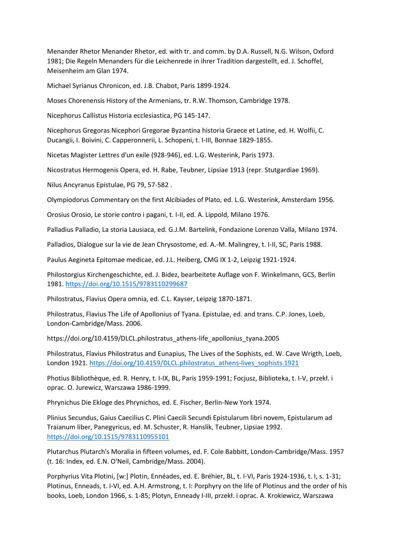Menander Rhetor Menander Rhetor, ed. with tr. and comm. by D.A. Russell, N.G. Wilson, Oxford 1981; Die Regeln Menanders für die Leichenrede in ihrer Tradition dargestellt, ed. J. Schoffel, Meisenheim am Glan 1974.

Michael Syrianus Chronicon, ed. J.B. Chabot, Paris 1899-1924.

Moses Chorenensis History of the Armenians, tr. R.W. Thomson, Cambridge 1978.

Nicephorus Callistus Historia ecclesiastica, PG 145-147.

Nicephorus Gregoras Nicephori Gregorae Byzantina historia Graece et Latine, ed. H. Wolfii, C. Ducangii, I. Boivini, C. Capperonnerii, L. Schopeni, t. I-III, Bonnae 1829-1855.

Nicetas Magister Lettres d'un exile (928-946), ed. L.G. Westerink, Paris 1973.

Nicostratus Hermogenis Opera, ed. H. Rabe, Teubner, Lipsiae 1913 (repr. Stutgardiae 1969).

Nilus Ancyranus Epistulae, PG 79, 57-582 .

Olympiodorus Commentary on the first Alcibiades of Plato, ed. L.G. Westerink, Amsterdam 1956.

Orosius Orosio, Le storie contro i pagani, t. I-II, ed. A. Lippold, Milano 1976.

Palladius Palladio, La storia Lausiaca, ed. G.J.M. Bartelink, Fondazione Lorenzo Valla, Milano 1974.

Palladios, Dialogue sur la vie de Jean Chrysostome, ed. A.-M. Malingrey, t. I-II, SC, Paris 1988.

Paulus Aegineta Epitomae medicae, ed. J.L. Heiberg, CMG IX 1-2, Leipzig 1921-1924.

Philostorgius Kirchengeschichte, ed. J. Bidez, bearbeitete Auflage von F. Winkelmann, GCS, Berlin 1981. <https://doi.org/10.1515/9783110299687>

Philostratus, Flavius Opera omnia, ed. C.L. Kayser, Leipzig 1870-1871.

Philostratus, Flavius The Life of Apollonius of Tyana. Epistulae, ed. and trans. C.P. Jones, Loeb, London-Cambridge/Mass. 2006.

https://doi.org/10.4159/DLCL.philostratus\_athens-life\_apollonius\_tyana.2005

Philostratus, Flavius Philostratus and Eunapius, The Lives of the Sophists, ed. W. Cave Wrigth, Loeb, London 1921. [https://doi.org/10.4159/DLCL.philostratus\\_athens-lives\\_sophists.1921](https://doi.org/10.4159/DLCL.philostratus_athens-lives_sophists.1921)

Photius Bibliothèque, ed. R. Henry, t. I-IX, BL, Paris 1959-1991; Focjusz, Biblioteka, t. I-V, przekł. i oprac. O. Jurewicz, Warszawa 1986-1999.

Phrynichus Die Ekloge des Phrynichos, ed. E. Fischer, Berlin-New York 1974.

Plinius Secundus, Gaius Caecilius C. Plini Caecili Secundi Epistularum libri novem, Epistularum ad Traianum liber, Panegyricus, ed. M. Schuster, R. Hanslik, Teubner, Lipsiae 1992. <https://doi.org/10.1515/9783110955101>

Plutarchus Plutarch's Moralia in fifteen volumes, ed. F. Cole Babbitt, London-Cambridge/Mass. 1957 (t. 16: Index, ed. E.N. O'Neil, Cambridge/Mass. 2004).

Porphyrius Vita Plotini, [w:] Plotin, Ennéades, ed. E. Bréhier, BL, t. I-VI, Paris 1924-1936, t. I, s. 1-31; Plotinus, Enneads, t. I-VI, ed. A.H. Armstrong, t. I: Porphyry on the life of Plotinus and the order of his books, Loeb, London 1966, s. 1-85; Plotyn, Enneady I-III, przekł. i oprac. A. Krokiewicz, Warszawa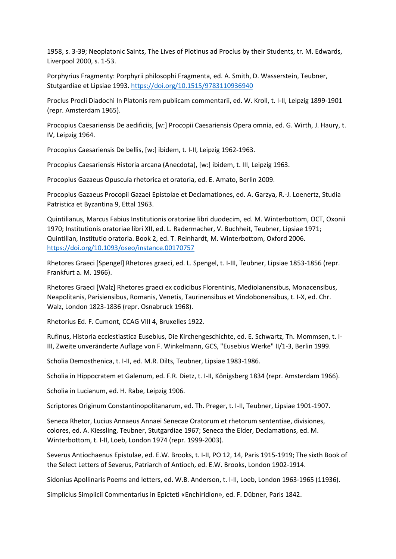1958, s. 3-39; Neoplatonic Saints, The Lives of Plotinus ad Proclus by their Students, tr. M. Edwards, Liverpool 2000, s. 1-53.

Porphyrius Fragmenty: Porphyrii philosophi Fragmenta, ed. A. Smith, D. Wasserstein, Teubner, Stutgardiae et Lipsiae 1993. <https://doi.org/10.1515/9783110936940>

Proclus Procli Diadochi In Platonis rem publicam commentarii, ed. W. Kroll, t. I-II, Leipzig 1899-1901 (repr. Amsterdam 1965).

Procopius Caesariensis De aedificiis, [w:] Procopii Caesariensis Opera omnia, ed. G. Wirth, J. Haury, t. IV, Leipzig 1964.

Procopius Caesariensis De bellis, [w:] ibidem, t. I-II, Leipzig 1962-1963.

Procopius Caesariensis Historia arcana (Anecdota), [w:] ibidem, t. III, Leipzig 1963.

Procopius Gazaeus Opuscula rhetorica et oratoria, ed. E. Amato, Berlin 2009.

Procopius Gazaeus Procopii Gazaei Epistolae et Declamationes, ed. A. Garzya, R.-J. Loenertz, Studia Patristica et Byzantina 9, Ettal 1963.

Quintilianus, Marcus Fabius Institutionis oratoriae libri duodecim, ed. M. Winterbottom, OCT, Oxonii 1970; Institutionis oratoriae libri XII, ed. L. Radermacher, V. Buchheit, Teubner, Lipsiae 1971; Quintilian, Institutio oratoria. Book 2, ed. T. Reinhardt, M. Winterbottom, Oxford 2006. <https://doi.org/10.1093/oseo/instance.00170757>

Rhetores Graeci [Spengel] Rhetores graeci, ed. L. Spengel, t. I-III, Teubner, Lipsiae 1853-1856 (repr. Frankfurt a. M. 1966).

Rhetores Graeci [Walz] Rhetores graeci ex codicibus Florentinis, Mediolanensibus, Monacensibus, Neapolitanis, Parisiensibus, Romanis, Venetis, Taurinensibus et Vindobonensibus, t. I-X, ed. Chr. Walz, London 1823-1836 (repr. Osnabruck 1968).

Rhetorius Ed. F. Cumont, CCAG VIII 4, Bruxelles 1922.

Rufinus, Historia ecclestiastica Eusebius, Die Kirchengeschichte, ed. E. Schwartz, Th. Mommsen, t. I-III, Zweite unveränderte Auflage von F. Winkelmann, GCS, "Eusebius Werke" II/1-3, Berlin 1999.

Scholia Demosthenica, t. I-II, ed. M.R. Dilts, Teubner, Lipsiae 1983-1986.

Scholia in Hippocratem et Galenum, ed. F.R. Dietz, t. I-II, Königsberg 1834 (repr. Amsterdam 1966).

Scholia in Lucianum, ed. H. Rabe, Leipzig 1906.

Scriptores Originum Constantinopolitanarum, ed. Th. Preger, t. I-II, Teubner, Lipsiae 1901-1907.

Seneca Rhetor, Lucius Annaeus Annaei Senecae Oratorum et rhetorum sententiae, divisiones, colores, ed. A. Kiessling, Teubner, Stutgardiae 1967; Seneca the Elder, Declamations, ed. M. Winterbottom, t. I-II, Loeb, London 1974 (repr. 1999-2003).

Severus Antiochaenus Epistulae, ed. E.W. Brooks, t. I-II, PO 12, 14, Paris 1915-1919; The sixth Book of the Select Letters of Severus, Patriarch of Antioch, ed. E.W. Brooks, London 1902-1914.

Sidonius Apollinaris Poems and letters, ed. W.B. Anderson, t. I-II, Loeb, London 1963-1965 (11936).

Simplicius Simplicii Commentarius in Epicteti «Enchiridion», ed. F. Dübner, Paris 1842.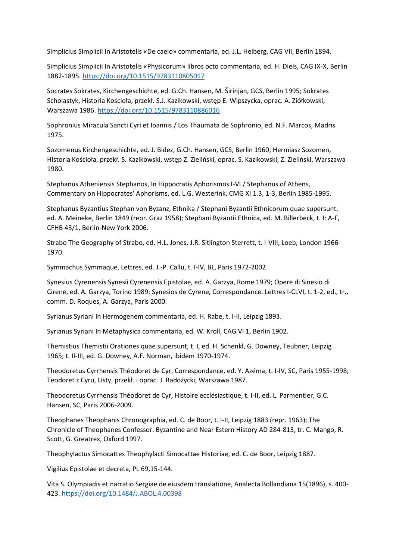Simplicius Simplicii In Aristotelis «De caelo» commentaria, ed. J.L. Heiberg, CAG VII, Berlin 1894.

Simplicius Simplicii In Aristotelis «Physicorum» libros octo commentaria, ed. H. Diels, CAG IX-X, Berlin 1882-1895. <https://doi.org/10.1515/9783110805017>

Socrates Sokrates, Kirchengeschichte, ed. G.Ch. Hansen, M. Širinjan, GCS, Berlin 1995; Sokrates Scholastyk, Historia Kościoła, przekł. S.J. Kazikowski, wstęp E. Wipszycka, oprac. A. Ziółkowski, Warszawa 1986. <https://doi.org/10.1515/9783110886016>

Sophronius Miracula Sancti Cyri et Ioannis / Los Thaumata de Sophronio, ed. N.F. Marcos, Madris 1975.

Sozomenus Kirchengeschichte, ed. J. Bidez, G.Ch. Hansen, GCS, Berlin 1960; Hermiasz Sozomen, Historia Kościoła, przekł. S. Kazikowski, wstęp Z. Zieliński, oprac. S. Kazikowski, Z. Zieliński, Warszawa 1980.

Stephanus Atheniensis Stephanos, In Hippocratis Aphorismos I-VI / Stephanus of Athens, Commentary on Hippocrates' Aphorisms, ed. L.G. Westerink, CMG XI 1.3, 1-3, Berlin 1985-1995.

Stephanus Byzantius Stephan von Byzanz, Ethnika / Stephani Byzantii Ethnicorum quae supersunt, ed. A. Meineke, Berlin 1849 (repr. Graz 1958); Stephani Byzantii Ethnica, ed. M. Billerbeck, t. I: Α-Γ, CFHB 43/1, Berlin-New York 2006.

Strabo The Geography of Strabo, ed. H.L. Jones, J.R. Sitlington Sterrett, t. I-VIII, Loeb, London 1966- 1970.

Symmachus Symmaque, Lettres, ed. J.-P. Callu, t. I-IV, BL, Paris 1972-2002.

Synesius Cyrenensis Synesii Cyrenensis Epistolae, ed. A. Garzya, Rome 1979; Opere di Sinesio di Cirene, ed. A. Garzya, Torino 1989; Synesios de Cyrene, Correspondance. Lettres I-CLVI, t. 1-2, ed., tr., comm. D. Roques, A. Garzya, Paris 2000.

Syrianus Syriani In Hermogenem commentaria, ed. H. Rabe, t. I-II, Leipzig 1893.

Syrianus Syriani In Metaphysica commentaria, ed. W. Kroll, CAG VI 1, Berlin 1902.

Themistius Themistii Orationes quae supersunt, t. I, ed. H. Schenkl, G. Downey, Teubner, Leipzig 1965; t. II-III, ed. G. Downey, A.F. Norman, ibidem 1970-1974.

Theodoretus Cyrrhensis Théodoret de Cyr, Correspondance, ed. Y. Azéma, t. I-IV, SC, Paris 1955-1998; Teodoret z Cyru, Listy, przekł. i oprac. J. Radożycki, Warszawa 1987.

Theodoretus Cyrrhensis Théodoret de Cyr, Histoire ecclésiastique, t. I-II, ed. L. Parmentier, G.C. Hansen, SC, Paris 2006-2009.

Theophanes Theophanis Chronographia, ed. C. de Boor, t. I-II, Leipzig 1883 (repr. 1963); The Chronicle of Theophanes Confessor. Byzantine and Near Estern History AD 284-813, tr. C. Mango, R. Scott, G. Greatrex, Oxford 1997.

Theophylactus Simocattes Theophylacti Simocattae Historiae, ed. C. de Boor, Leipzig 1887.

Vigilius Epistolae et decreta, PL 69,15-144.

Vita S. Olympiadis et narratio Sergiae de eiusdem translatione, Analecta Bollandiana 15(1896), s. 400- 423. <https://doi.org/10.1484/J.ABOL.4.00398>